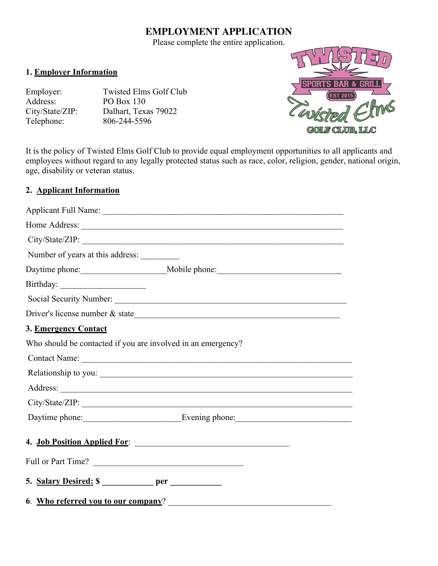## **EMPLOYMENT APPLICATION**

Please complete the entire application.

#### **1. Employer Information**

Employer: Twisted Elms Golf Club Address: PO Box 130

City/State/ZIP: Dalhart, Texas 79022<br>Telephone: 806-244-5596 Telephone: 806-244-5596



It is the policy of Twisted Elms Golf Club to provide equal employment opportunities to all applicants and employees without regard to any legally protected status such as race, color, religion, gender, national origin, age, disability or veteran status.

### **2. Applicant Information**

|                                                              | City/State/ZIP:              |
|--------------------------------------------------------------|------------------------------|
| Number of years at this address:                             |                              |
|                                                              |                              |
|                                                              |                              |
|                                                              |                              |
|                                                              |                              |
| 3. Emergency Contact                                         |                              |
| Who should be contacted if you are involved in an emergency? |                              |
|                                                              |                              |
|                                                              | Relationship to you:         |
|                                                              |                              |
|                                                              |                              |
|                                                              |                              |
|                                                              | 4. Job Position Applied For: |
| Full or Part Time?                                           |                              |
|                                                              |                              |
| 6. Who referred you to our company?                          |                              |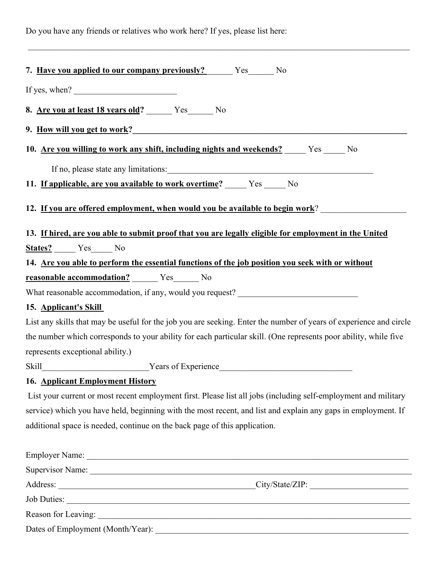Do you have any friends or relatives who work here? If yes, please list here:

| 7. Have you applied to our company previously? Yes No                                                              |  |  |
|--------------------------------------------------------------------------------------------------------------------|--|--|
| If yes, when? $\frac{1}{\sqrt{1-\frac{1}{2}}\sqrt{1-\frac{1}{2}}\sqrt{1-\frac{1}{2}}\sqrt{1-\frac{1}{2}}}}$        |  |  |
| 8. Are you at least 18 years old? ________ Yes________ No                                                          |  |  |
| 9. <u>How will you get to work?</u>                                                                                |  |  |
| 10. Are you willing to work any shift, including nights and weekends? The Yes Theody                               |  |  |
| If no, please state any limitations: 1000 minutes of the state of the state and limitations:                       |  |  |
| 11. If applicable, are you available to work overtime? _______ Yes ______ No                                       |  |  |
| 12. If you are offered employment, when would you be available to begin work?                                      |  |  |
| 13. If hired, are you able to submit proof that you are legally eligible for employment in the United              |  |  |
| States? Yes No                                                                                                     |  |  |
| 14. Are you able to perform the essential functions of the job position you seek with or without                   |  |  |
|                                                                                                                    |  |  |
| What reasonable accommodation, if any, would you request? _______________________                                  |  |  |
| 15. Applicant's Skill                                                                                              |  |  |
| List any skills that may be useful for the job you are seeking. Enter the number of years of experience and circle |  |  |
| the number which corresponds to your ability for each particular skill. (One represents poor ability, while five   |  |  |
| represents exceptional ability.)                                                                                   |  |  |
|                                                                                                                    |  |  |
| <b>16. Applicant Employment History</b>                                                                            |  |  |
| List your current or most recent employment first. Please list all jobs (including self-employment and military    |  |  |
| service) which you have held, beginning with the most recent, and list and explain any gaps in employment. If      |  |  |
| additional space is needed, continue on the back page of this application.                                         |  |  |
|                                                                                                                    |  |  |
|                                                                                                                    |  |  |
|                                                                                                                    |  |  |
|                                                                                                                    |  |  |
|                                                                                                                    |  |  |

\_\_\_\_\_\_\_\_\_\_\_\_\_\_\_\_\_\_\_\_\_\_\_\_\_\_\_\_\_\_\_\_\_\_\_\_\_\_\_\_\_\_\_\_\_\_\_\_\_\_\_\_\_\_\_\_\_\_\_\_\_\_\_\_\_\_\_\_\_\_\_\_\_\_\_\_\_\_\_\_\_\_\_\_\_\_\_\_\_

Dates of Employment (Month/Year): \_\_\_\_\_\_\_\_\_\_\_\_\_\_\_\_\_\_\_\_\_\_\_\_\_\_\_\_\_\_\_\_\_\_\_\_\_\_\_\_\_\_\_\_\_\_\_\_\_\_\_\_\_\_\_\_\_\_\_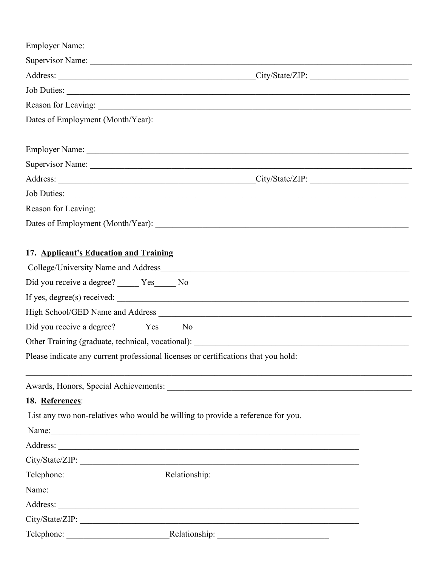| 17. Applicant's Education and Training         |                                                                                                                                                                                                                               |
|------------------------------------------------|-------------------------------------------------------------------------------------------------------------------------------------------------------------------------------------------------------------------------------|
|                                                |                                                                                                                                                                                                                               |
| Did you receive a degree? _____ Yes____ No     |                                                                                                                                                                                                                               |
|                                                | If yes, degree(s) received:                                                                                                                                                                                                   |
|                                                |                                                                                                                                                                                                                               |
| Did you receive a degree? _______ Yes______ No |                                                                                                                                                                                                                               |
|                                                | Other Training (graduate, technical, vocational): _______________________________                                                                                                                                             |
|                                                | Please indicate any current professional licenses or certifications that you hold:                                                                                                                                            |
|                                                |                                                                                                                                                                                                                               |
|                                                |                                                                                                                                                                                                                               |
| 18. References:                                |                                                                                                                                                                                                                               |
|                                                | List any two non-relatives who would be willing to provide a reference for you.                                                                                                                                               |
|                                                | Name: Name: Name: Name: Name: Name: Name: Name: Name: Name: Name: Name: Name: Name: Name: Name: Name: Name: Name: Name: Name: Name: Name: Name: Name: Name: Name: Name: Name: Name: Name: Name: Name: Name: Name: Name: Name: |
|                                                |                                                                                                                                                                                                                               |
|                                                |                                                                                                                                                                                                                               |
|                                                |                                                                                                                                                                                                                               |
|                                                | Name: Name: Name: Name: Name: Name: Name: Name: Name: Name: Name: Name: Name: Name: Name: Name: Name: Name: Name: Name: Name: Name: Name: Name: Name: Name: Name: Name: Name: Name: Name: Name: Name: Name: Name: Name: Name: |
|                                                |                                                                                                                                                                                                                               |
|                                                |                                                                                                                                                                                                                               |
|                                                |                                                                                                                                                                                                                               |